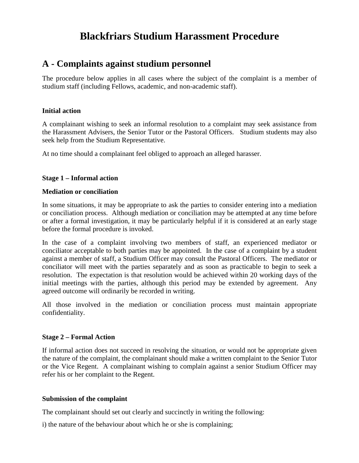# **Blackfriars Studium Harassment Procedure**

# **A - Complaints against studium personnel**

The procedure below applies in all cases where the subject of the complaint is a member of studium staff (including Fellows, academic, and non-academic staff).

# **Initial action**

A complainant wishing to seek an informal resolution to a complaint may seek assistance from the Harassment Advisers, the Senior Tutor or the Pastoral Officers. Studium students may also seek help from the Studium Representative.

At no time should a complainant feel obliged to approach an alleged harasser.

# **Stage 1 – Informal action**

## **Mediation or conciliation**

In some situations, it may be appropriate to ask the parties to consider entering into a mediation or conciliation process. Although mediation or conciliation may be attempted at any time before or after a formal investigation, it may be particularly helpful if it is considered at an early stage before the formal procedure is invoked.

In the case of a complaint involving two members of staff, an experienced mediator or conciliator acceptable to both parties may be appointed. In the case of a complaint by a student against a member of staff, a Studium Officer may consult the Pastoral Officers. The mediator or conciliator will meet with the parties separately and as soon as practicable to begin to seek a resolution. The expectation is that resolution would be achieved within 20 working days of the initial meetings with the parties, although this period may be extended by agreement. Any agreed outcome will ordinarily be recorded in writing.

All those involved in the mediation or conciliation process must maintain appropriate confidentiality.

## **Stage 2 – Formal Action**

If informal action does not succeed in resolving the situation, or would not be appropriate given the nature of the complaint, the complainant should make a written complaint to the Senior Tutor or the Vice Regent. A complainant wishing to complain against a senior Studium Officer may refer his or her complaint to the Regent.

## **Submission of the complaint**

The complainant should set out clearly and succinctly in writing the following:

i) the nature of the behaviour about which he or she is complaining;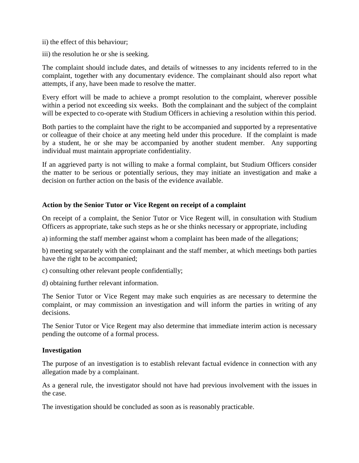- ii) the effect of this behaviour;
- iii) the resolution he or she is seeking.

The complaint should include dates, and details of witnesses to any incidents referred to in the complaint, together with any documentary evidence. The complainant should also report what attempts, if any, have been made to resolve the matter.

Every effort will be made to achieve a prompt resolution to the complaint, wherever possible within a period not exceeding six weeks. Both the complainant and the subject of the complaint will be expected to co-operate with Studium Officers in achieving a resolution within this period.

Both parties to the complaint have the right to be accompanied and supported by a representative or colleague of their choice at any meeting held under this procedure. If the complaint is made by a student, he or she may be accompanied by another student member. Any supporting individual must maintain appropriate confidentiality.

If an aggrieved party is not willing to make a formal complaint, but Studium Officers consider the matter to be serious or potentially serious, they may initiate an investigation and make a decision on further action on the basis of the evidence available.

## **Action by the Senior Tutor or Vice Regent on receipt of a complaint**

On receipt of a complaint, the Senior Tutor or Vice Regent will, in consultation with Studium Officers as appropriate, take such steps as he or she thinks necessary or appropriate, including

a) informing the staff member against whom a complaint has been made of the allegations;

b) meeting separately with the complainant and the staff member, at which meetings both parties have the right to be accompanied;

c) consulting other relevant people confidentially;

d) obtaining further relevant information.

The Senior Tutor or Vice Regent may make such enquiries as are necessary to determine the complaint, or may commission an investigation and will inform the parties in writing of any decisions.

The Senior Tutor or Vice Regent may also determine that immediate interim action is necessary pending the outcome of a formal process.

## **Investigation**

The purpose of an investigation is to establish relevant factual evidence in connection with any allegation made by a complainant.

As a general rule, the investigator should not have had previous involvement with the issues in the case.

The investigation should be concluded as soon as is reasonably practicable.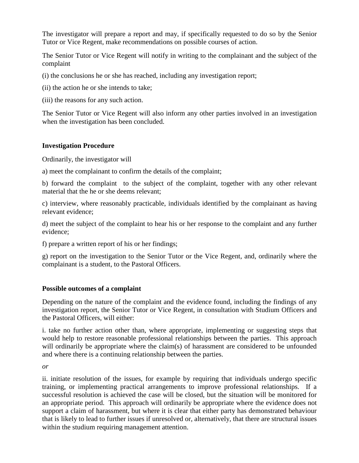The investigator will prepare a report and may, if specifically requested to do so by the Senior Tutor or Vice Regent, make recommendations on possible courses of action.

The Senior Tutor or Vice Regent will notify in writing to the complainant and the subject of the complaint

(i) the conclusions he or she has reached, including any investigation report;

(ii) the action he or she intends to take;

(iii) the reasons for any such action.

The Senior Tutor or Vice Regent will also inform any other parties involved in an investigation when the investigation has been concluded.

# **Investigation Procedure**

Ordinarily, the investigator will

a) meet the complainant to confirm the details of the complaint;

b) forward the complaint to the subject of the complaint, together with any other relevant material that the he or she deems relevant;

c) interview, where reasonably practicable, individuals identified by the complainant as having relevant evidence;

d) meet the subject of the complaint to hear his or her response to the complaint and any further evidence;

f) prepare a written report of his or her findings;

g) report on the investigation to the Senior Tutor or the Vice Regent, and, ordinarily where the complainant is a student, to the Pastoral Officers.

## **Possible outcomes of a complaint**

Depending on the nature of the complaint and the evidence found, including the findings of any investigation report, the Senior Tutor or Vice Regent, in consultation with Studium Officers and the Pastoral Officers, will either:

i. take no further action other than, where appropriate, implementing or suggesting steps that would help to restore reasonable professional relationships between the parties. This approach will ordinarily be appropriate where the claim(s) of harassment are considered to be unfounded and where there is a continuing relationship between the parties.

*or* 

ii. initiate resolution of the issues, for example by requiring that individuals undergo specific training, or implementing practical arrangements to improve professional relationships. If a successful resolution is achieved the case will be closed, but the situation will be monitored for an appropriate period. This approach will ordinarily be appropriate where the evidence does not support a claim of harassment, but where it is clear that either party has demonstrated behaviour that is likely to lead to further issues if unresolved or, alternatively, that there are structural issues within the studium requiring management attention.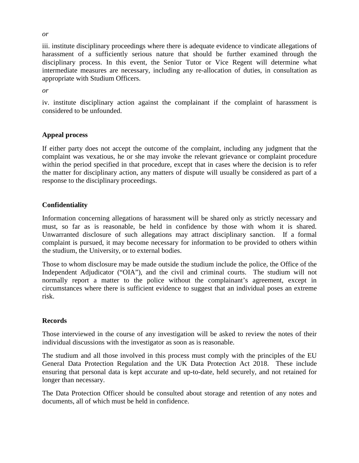iii. institute disciplinary proceedings where there is adequate evidence to vindicate allegations of harassment of a sufficiently serious nature that should be further examined through the disciplinary process. In this event, the Senior Tutor or Vice Regent will determine what intermediate measures are necessary, including any re-allocation of duties, in consultation as appropriate with Studium Officers.

*or* 

iv. institute disciplinary action against the complainant if the complaint of harassment is considered to be unfounded.

## **Appeal process**

If either party does not accept the outcome of the complaint, including any judgment that the complaint was vexatious, he or she may invoke the relevant grievance or complaint procedure within the period specified in that procedure, except that in cases where the decision is to refer the matter for disciplinary action, any matters of dispute will usually be considered as part of a response to the disciplinary proceedings.

# **Confidentiality**

Information concerning allegations of harassment will be shared only as strictly necessary and must, so far as is reasonable, be held in confidence by those with whom it is shared. Unwarranted disclosure of such allegations may attract disciplinary sanction. If a formal complaint is pursued, it may become necessary for information to be provided to others within the studium, the University, or to external bodies.

Those to whom disclosure may be made outside the studium include the police, the Office of the Independent Adjudicator ("OIA"), and the civil and criminal courts. The studium will not normally report a matter to the police without the complainant's agreement, except in circumstances where there is sufficient evidence to suggest that an individual poses an extreme risk.

## **Records**

Those interviewed in the course of any investigation will be asked to review the notes of their individual discussions with the investigator as soon as is reasonable.

The studium and all those involved in this process must comply with the principles of the EU General Data Protection Regulation and the UK Data Protection Act 2018. These include ensuring that personal data is kept accurate and up-to-date, held securely, and not retained for longer than necessary.

The Data Protection Officer should be consulted about storage and retention of any notes and documents, all of which must be held in confidence.

*or*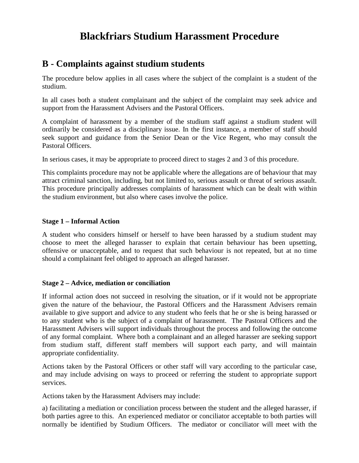# **Blackfriars Studium Harassment Procedure**

# **B - Complaints against studium students**

The procedure below applies in all cases where the subject of the complaint is a student of the studium.

In all cases both a student complainant and the subject of the complaint may seek advice and support from the Harassment Advisers and the Pastoral Officers.

A complaint of harassment by a member of the studium staff against a studium student will ordinarily be considered as a disciplinary issue. In the first instance, a member of staff should seek support and guidance from the Senior Dean or the Vice Regent, who may consult the Pastoral Officers.

In serious cases, it may be appropriate to proceed direct to stages 2 and 3 of this procedure.

This complaints procedure may not be applicable where the allegations are of behaviour that may attract criminal sanction, including, but not limited to, serious assault or threat of serious assault. This procedure principally addresses complaints of harassment which can be dealt with within the studium environment, but also where cases involve the police.

# **Stage 1 – Informal Action**

A student who considers himself or herself to have been harassed by a studium student may choose to meet the alleged harasser to explain that certain behaviour has been upsetting, offensive or unacceptable, and to request that such behaviour is not repeated, but at no time should a complainant feel obliged to approach an alleged harasser.

## **Stage 2 – Advice, mediation or conciliation**

If informal action does not succeed in resolving the situation, or if it would not be appropriate given the nature of the behaviour, the Pastoral Officers and the Harassment Advisers remain available to give support and advice to any student who feels that he or she is being harassed or to any student who is the subject of a complaint of harassment. The Pastoral Officers and the Harassment Advisers will support individuals throughout the process and following the outcome of any formal complaint. Where both a complainant and an alleged harasser are seeking support from studium staff, different staff members will support each party, and will maintain appropriate confidentiality.

Actions taken by the Pastoral Officers or other staff will vary according to the particular case, and may include advising on ways to proceed or referring the student to appropriate support services.

Actions taken by the Harassment Advisers may include:

a) facilitating a mediation or conciliation process between the student and the alleged harasser, if both parties agree to this. An experienced mediator or conciliator acceptable to both parties will normally be identified by Studium Officers. The mediator or conciliator will meet with the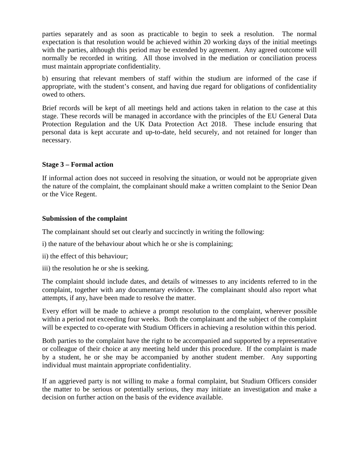parties separately and as soon as practicable to begin to seek a resolution. The normal expectation is that resolution would be achieved within 20 working days of the initial meetings with the parties, although this period may be extended by agreement. Any agreed outcome will normally be recorded in writing. All those involved in the mediation or conciliation process must maintain appropriate confidentiality.

b) ensuring that relevant members of staff within the studium are informed of the case if appropriate, with the student's consent, and having due regard for obligations of confidentiality owed to others.

Brief records will be kept of all meetings held and actions taken in relation to the case at this stage. These records will be managed in accordance with the principles of the EU General Data Protection Regulation and the UK Data Protection Act 2018. These include ensuring that personal data is kept accurate and up-to-date, held securely, and not retained for longer than necessary.

# **Stage 3 – Formal action**

If informal action does not succeed in resolving the situation, or would not be appropriate given the nature of the complaint, the complainant should make a written complaint to the Senior Dean or the Vice Regent.

## **Submission of the complaint**

The complainant should set out clearly and succinctly in writing the following:

- i) the nature of the behaviour about which he or she is complaining;
- ii) the effect of this behaviour;
- iii) the resolution he or she is seeking.

The complaint should include dates, and details of witnesses to any incidents referred to in the complaint, together with any documentary evidence. The complainant should also report what attempts, if any, have been made to resolve the matter.

Every effort will be made to achieve a prompt resolution to the complaint, wherever possible within a period not exceeding four weeks. Both the complainant and the subject of the complaint will be expected to co-operate with Studium Officers in achieving a resolution within this period.

Both parties to the complaint have the right to be accompanied and supported by a representative or colleague of their choice at any meeting held under this procedure. If the complaint is made by a student, he or she may be accompanied by another student member. Any supporting individual must maintain appropriate confidentiality.

If an aggrieved party is not willing to make a formal complaint, but Studium Officers consider the matter to be serious or potentially serious, they may initiate an investigation and make a decision on further action on the basis of the evidence available.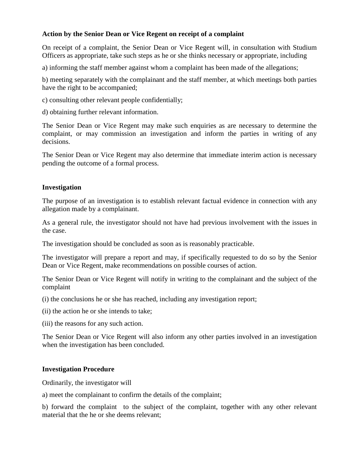# **Action by the Senior Dean or Vice Regent on receipt of a complaint**

On receipt of a complaint, the Senior Dean or Vice Regent will, in consultation with Studium Officers as appropriate, take such steps as he or she thinks necessary or appropriate, including

a) informing the staff member against whom a complaint has been made of the allegations;

b) meeting separately with the complainant and the staff member, at which meetings both parties have the right to be accompanied;

- c) consulting other relevant people confidentially;
- d) obtaining further relevant information.

The Senior Dean or Vice Regent may make such enquiries as are necessary to determine the complaint, or may commission an investigation and inform the parties in writing of any decisions.

The Senior Dean or Vice Regent may also determine that immediate interim action is necessary pending the outcome of a formal process.

#### **Investigation**

The purpose of an investigation is to establish relevant factual evidence in connection with any allegation made by a complainant.

As a general rule, the investigator should not have had previous involvement with the issues in the case.

The investigation should be concluded as soon as is reasonably practicable.

The investigator will prepare a report and may, if specifically requested to do so by the Senior Dean or Vice Regent, make recommendations on possible courses of action.

The Senior Dean or Vice Regent will notify in writing to the complainant and the subject of the complaint

(i) the conclusions he or she has reached, including any investigation report;

- (ii) the action he or she intends to take;
- (iii) the reasons for any such action.

The Senior Dean or Vice Regent will also inform any other parties involved in an investigation when the investigation has been concluded.

## **Investigation Procedure**

Ordinarily, the investigator will

a) meet the complainant to confirm the details of the complaint;

b) forward the complaint to the subject of the complaint, together with any other relevant material that the he or she deems relevant;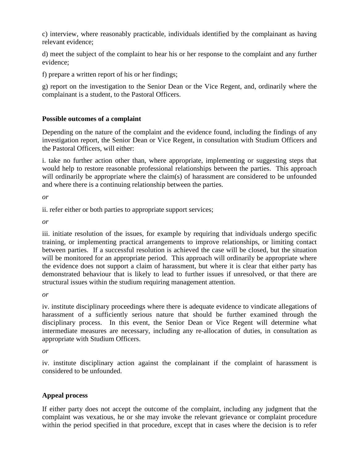c) interview, where reasonably practicable, individuals identified by the complainant as having relevant evidence;

d) meet the subject of the complaint to hear his or her response to the complaint and any further evidence;

f) prepare a written report of his or her findings;

g) report on the investigation to the Senior Dean or the Vice Regent, and, ordinarily where the complainant is a student, to the Pastoral Officers.

# **Possible outcomes of a complaint**

Depending on the nature of the complaint and the evidence found, including the findings of any investigation report, the Senior Dean or Vice Regent, in consultation with Studium Officers and the Pastoral Officers, will either:

i. take no further action other than, where appropriate, implementing or suggesting steps that would help to restore reasonable professional relationships between the parties. This approach will ordinarily be appropriate where the claim(s) of harassment are considered to be unfounded and where there is a continuing relationship between the parties.

*or* 

ii. refer either or both parties to appropriate support services;

*or* 

iii. initiate resolution of the issues, for example by requiring that individuals undergo specific training, or implementing practical arrangements to improve relationships, or limiting contact between parties. If a successful resolution is achieved the case will be closed, but the situation will be monitored for an appropriate period. This approach will ordinarily be appropriate where the evidence does not support a claim of harassment, but where it is clear that either party has demonstrated behaviour that is likely to lead to further issues if unresolved, or that there are structural issues within the studium requiring management attention.

*or* 

iv. institute disciplinary proceedings where there is adequate evidence to vindicate allegations of harassment of a sufficiently serious nature that should be further examined through the disciplinary process. In this event, the Senior Dean or Vice Regent will determine what intermediate measures are necessary, including any re-allocation of duties, in consultation as appropriate with Studium Officers.

*or* 

iv. institute disciplinary action against the complainant if the complaint of harassment is considered to be unfounded.

# **Appeal process**

If either party does not accept the outcome of the complaint, including any judgment that the complaint was vexatious, he or she may invoke the relevant grievance or complaint procedure within the period specified in that procedure, except that in cases where the decision is to refer